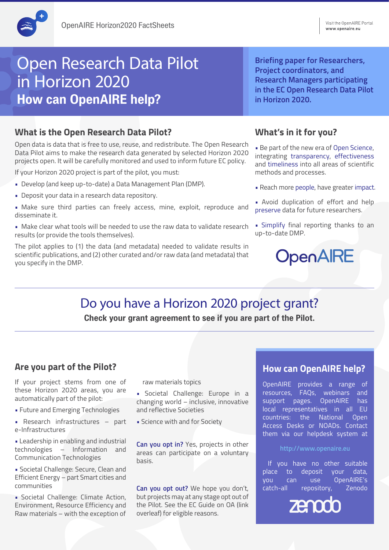# Open Research Data Pilot in Horizon 2020 **How can OpenAIRE help?**

## **What is the Open Research Data Pilot?**

Open data is data that is free to use, reuse, and redistribute. The Open Research Data Pilot aims to make the research data generated by selected Horizon 2020 projects open. It will be carefully monitored and used to inform future EC policy.

If your Horizon 2020 project is part of the pilot, you must:

- Develop (and keep up-to-date) a Data Management Plan (DMP).
- Deposit your data in a research data repository.
- Make sure third parties can freely access, mine, exploit, reproduce and disseminate it.
- Make clear what tools will be needed to use the raw data to validate research results (or provide the tools themselves).

The pilot applies to (1) the data (and metadata) needed to validate results in scientific publications, and (2) other curated and/or raw data (and metadata) that you specify in the DMP.

#### **Briefing paper for Researchers, Project coordinators, and Research Managers participating in the EC Open Research Data Pilot in Horizon 2020.**

#### **What's in it for you?**

• Be part of the new era of Open Science, integrating transparency, effectiveness and timeliness into all areas of scientific methods and processes.

- Reach more people, have greater impact.
- Avoid duplication of effort and help preserve data for future researchers.
- Simplify final reporting thanks to an up-to-date DMP.

# OpenAIRE

# Do you have a Horizon 2020 project grant?

**Check your grant agreement to see if you are part of the Pilot.**

## **Are you part of the Pilot?**

If your project stems from one of these Horizon 2020 areas, you are automatically part of the pilot:

- Future and Emerging Technologies
- Research infrastructures part e-Infrastructures

• Leadership in enabling and industrial technologies – Information and Communication Technologies

• Societal Challenge: Secure, Clean and Efficient Energy – part Smart cities and communities

• Societal Challenge: Climate Action, Environment, Resource Efficiency and Raw materials – with the exception of

raw materials topics

- Societal Challenge: Europe in a changing world – inclusive, innovative and reflective Societies
- Science with and for Society

**Can you opt in?** Yes, projects in other areas can participate on a voluntary basis.

**Can you opt out?** We hope you don't, but projects may at any stage opt out of the Pilot. See the EC Guide on OA (link overleaf) for eligible reasons.

## **How can OpenAIRE help?**

OpenAIRE provides a range of resources, FAQs, webinars and support pages. OpenAIRE has local representatives in all EU countries: the National Open Access Desks or NOADs. Contact them via our helpdesk system at

#### **http://www.openaire.eu**

 If you have no other suitable place to deposit your data, you can use OpenAIRE's catch-all repository, Zenodo